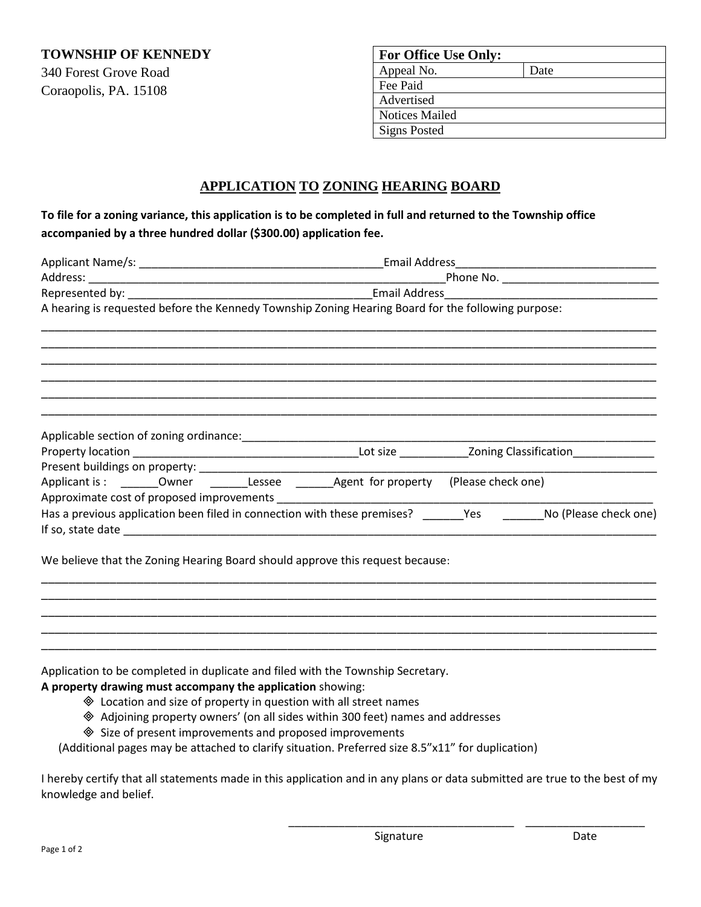**TOWNSHIP OF KENNEDY**

340 Forest Grove Road Coraopolis, PA. 15108

| <b>For Office Use Only:</b> |      |
|-----------------------------|------|
| Appeal No.                  | Date |
| Fee Paid                    |      |
| Advertised                  |      |
| <b>Notices Mailed</b>       |      |
| <b>Signs Posted</b>         |      |

# **APPLICATION TO ZONING HEARING BOARD**

# **To file for a zoning variance, this application is to be completed in full and returned to the Township office accompanied by a three hundred dollar (\$300.00) application fee.**

|                                                                                                    | Email Address and a manufacturer and the set of the set of the set of the set of the set of the set of the set |  |                                                  |                       |  |
|----------------------------------------------------------------------------------------------------|----------------------------------------------------------------------------------------------------------------|--|--------------------------------------------------|-----------------------|--|
|                                                                                                    |                                                                                                                |  |                                                  |                       |  |
|                                                                                                    |                                                                                                                |  |                                                  |                       |  |
| A hearing is requested before the Kennedy Township Zoning Hearing Board for the following purpose: |                                                                                                                |  |                                                  |                       |  |
|                                                                                                    |                                                                                                                |  |                                                  |                       |  |
|                                                                                                    |                                                                                                                |  |                                                  |                       |  |
|                                                                                                    |                                                                                                                |  |                                                  |                       |  |
| Applicable section of zoning ordinance:                                                            |                                                                                                                |  |                                                  |                       |  |
|                                                                                                    |                                                                                                                |  | Lot size <b>Example 20</b> Zoning Classification |                       |  |
|                                                                                                    |                                                                                                                |  |                                                  |                       |  |
| Applicant is: _________ Owner __________ Lessee ________ Agent for property                        |                                                                                                                |  | (Please check one)                               |                       |  |
| Approximate cost of proposed improvements                                                          |                                                                                                                |  |                                                  |                       |  |
| Has a previous application been filed in connection with these premises?                           |                                                                                                                |  | <b>Yes</b>                                       | No (Please check one) |  |
| If so, state date                                                                                  |                                                                                                                |  |                                                  |                       |  |
|                                                                                                    |                                                                                                                |  |                                                  |                       |  |

\_\_\_\_\_\_\_\_\_\_\_\_\_\_\_\_\_\_\_\_\_\_\_\_\_\_\_\_\_\_\_\_\_\_\_\_\_\_\_\_\_\_\_\_\_\_\_\_\_\_\_\_\_\_\_\_\_\_\_\_\_\_\_\_\_\_\_\_\_\_\_\_\_\_\_\_\_\_\_\_\_\_\_\_\_\_\_\_\_\_ \_\_\_\_\_\_\_\_\_\_\_\_\_\_\_\_\_\_\_\_\_\_\_\_\_\_\_\_\_\_\_\_\_\_\_\_\_\_\_\_\_\_\_\_\_\_\_\_\_\_\_\_\_\_\_\_\_\_\_\_\_\_\_\_\_\_\_\_\_\_\_\_\_\_\_\_\_\_\_\_\_\_\_\_\_\_\_\_\_\_ \_\_\_\_\_\_\_\_\_\_\_\_\_\_\_\_\_\_\_\_\_\_\_\_\_\_\_\_\_\_\_\_\_\_\_\_\_\_\_\_\_\_\_\_\_\_\_\_\_\_\_\_\_\_\_\_\_\_\_\_\_\_\_\_\_\_\_\_\_\_\_\_\_\_\_\_\_\_\_\_\_\_\_\_\_\_\_\_\_\_ \_\_\_\_\_\_\_\_\_\_\_\_\_\_\_\_\_\_\_\_\_\_\_\_\_\_\_\_\_\_\_\_\_\_\_\_\_\_\_\_\_\_\_\_\_\_\_\_\_\_\_\_\_\_\_\_\_\_\_\_\_\_\_\_\_\_\_\_\_\_\_\_\_\_\_\_\_\_\_\_\_\_\_\_\_\_\_\_\_\_ \_\_\_\_\_\_\_\_\_\_\_\_\_\_\_\_\_\_\_\_\_\_\_\_\_\_\_\_\_\_\_\_\_\_\_\_\_\_\_\_\_\_\_\_\_\_\_\_\_\_\_\_\_\_\_\_\_\_\_\_\_\_\_\_\_\_\_\_\_\_\_\_\_\_\_\_\_\_\_\_\_\_\_\_\_\_\_\_\_\_

We believe that the Zoning Hearing Board should approve this request because:

Application to be completed in duplicate and filed with the Township Secretary.

# **A property drawing must accompany the application** showing:

- Location and size of property in question with all street names
- Adjoining property owners' (on all sides within 300 feet) names and addresses
- ◆ Size of present improvements and proposed improvements

(Additional pages may be attached to clarify situation. Preferred size 8.5"x11" for duplication)

I hereby certify that all statements made in this application and in any plans or data submitted are true to the best of my knowledge and belief.

\_\_\_\_\_\_\_\_\_\_\_\_\_\_\_\_\_\_\_\_\_\_\_\_\_\_\_\_\_\_\_\_\_\_\_\_ \_\_\_\_\_\_\_\_\_\_\_\_\_\_\_\_\_\_\_